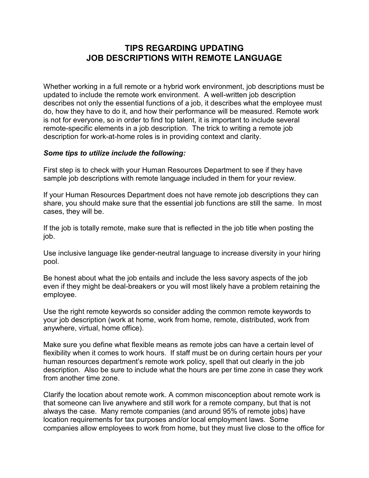## **TIPS REGARDING UPDATING JOB DESCRIPTIONS WITH REMOTE LANGUAGE**

Whether working in a full remote or a hybrid work environment, job descriptions must be updated to include the remote work environment. A well-written job description describes not only the essential functions of a job, it describes what the employee must do, how they have to do it, and how their performance will be measured. Remote work is not for everyone, so in order to find top talent, it is important to include several remote-specific elements in a job description. The trick to writing a remote job description for work-at-home roles is in providing context and clarity.

## *Some tips to utilize include the following:*

First step is to check with your Human Resources Department to see if they have sample job descriptions with remote language included in them for your review.

If your Human Resources Department does not have remote job descriptions they can share, you should make sure that the essential job functions are still the same. In most cases, they will be.

If the job is totally remote, make sure that is reflected in the job title when posting the job.

Use inclusive language like gender-neutral language to increase diversity in your hiring pool.

Be honest about what the job entails and include the less savory aspects of the job even if they might be deal-breakers or you will most likely have a problem retaining the employee.

Use the right remote keywords so consider adding the common remote keywords to your job description (work at home, work from home, remote, distributed, work from anywhere, virtual, home office).

Make sure you define what flexible means as remote jobs can have a certain level of flexibility when it comes to work hours. If staff must be on during certain hours per your human resources department's remote work policy, spell that out clearly in the job description. Also be sure to include what the hours are per time zone in case they work from another time zone.

Clarify the location about remote work. A common misconception about remote work is that someone can live anywhere and still work for a remote company, but that is not always the case. Many remote companies (and around 95% of remote jobs) have location requirements for tax purposes and/or local employment laws. Some companies allow employees to work from home, but they must live close to the office for